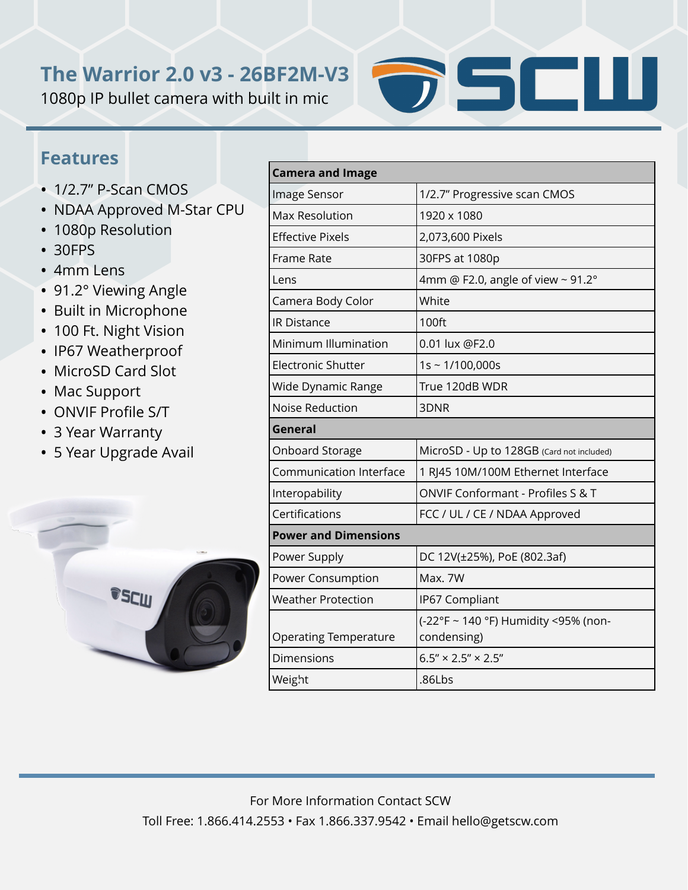## **The Warrior 2.0 v3 - 26BF2M-V3**

1080p IP bullet camera with built in mic



## **Features**

- 1/2.7" P-Scan CMOS
- NDAA Approved M-Star CPU
- 1080p Resolution
- 30FPS
- 4mm Lens
- 91.2° Viewing Angle
- Built in Microphone
- 100 Ft. Night Vision
- IP67 Weatherproof
- MicroSD Card Slot
- Mac Support
- ONVIF Profile S/T
- 3 Year Warranty
- 5 Year Upgrade Avail



| <b>Camera and Image</b>        |                                                     |
|--------------------------------|-----------------------------------------------------|
| Image Sensor                   | 1/2.7" Progressive scan CMOS                        |
| <b>Max Resolution</b>          | 1920 x 1080                                         |
| <b>Effective Pixels</b>        | 2,073,600 Pixels                                    |
| Frame Rate                     | 30FPS at 1080p                                      |
| Lens                           | 4mm @ F2.0, angle of view ~ 91.2°                   |
| Camera Body Color              | White                                               |
| <b>IR Distance</b>             | 100ft                                               |
| Minimum Illumination           | 0.01 lux @F2.0                                      |
| <b>Electronic Shutter</b>      | $1s \sim 1/100,000s$                                |
| Wide Dynamic Range             | True 120dB WDR                                      |
| <b>Noise Reduction</b>         | 3DNR                                                |
| General                        |                                                     |
| Onboard Storage                | MicroSD - Up to 128GB (Card not included)           |
| <b>Communication Interface</b> | 1 RJ45 10M/100M Ethernet Interface                  |
| Interopability                 | ONVIF Conformant - Profiles S & T                   |
| Certifications                 | FCC / UL / CE / NDAA Approved                       |
| <b>Power and Dimensions</b>    |                                                     |
| Power Supply                   | DC 12V(±25%), PoE (802.3af)                         |
| Power Consumption              | Max. 7W                                             |
| <b>Weather Protection</b>      | IP67 Compliant                                      |
| <b>Operating Temperature</b>   | (-22°F ~ 140 °F) Humidity <95% (non-<br>condensing) |
| Dimensions                     | $6.5'' \times 2.5'' \times 2.5''$                   |
| Weight                         | .86Lbs                                              |